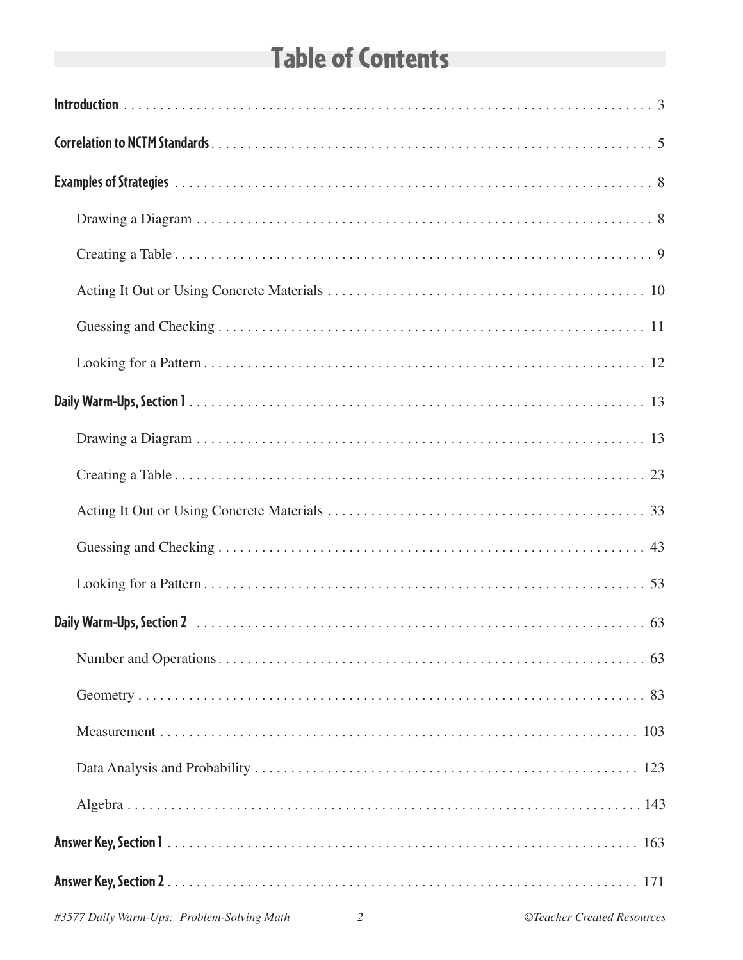# **Table of Contents**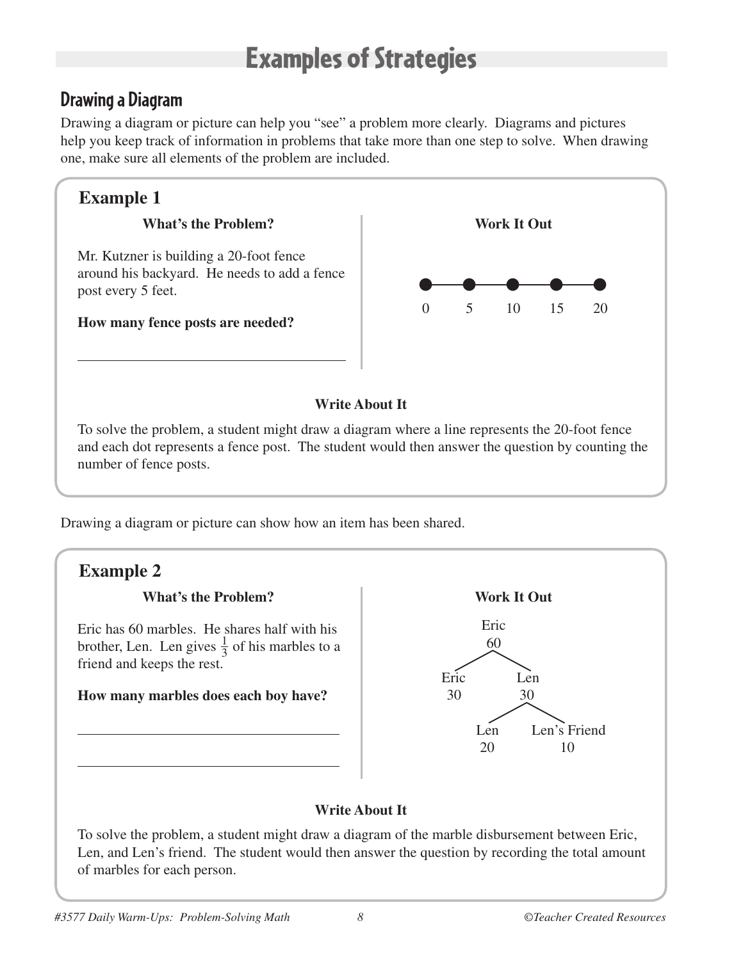# Examples of Strategies

## **Drawing a Diagram**

Drawing a diagram or picture can help you "see" a problem more clearly. Diagrams and pictures help you keep track of information in problems that take more than one step to solve. When drawing one, make sure all elements of the problem are included.

## **Example 1**

## **What's the Problem?**

Mr. Kutzner is building a 20-foot fence around his backyard. He needs to add a fence post every 5 feet.

**How many fence posts are needed?**



## **Write About It**

To solve the problem, a student might draw a diagram where a line represents the 20-foot fence and each dot represents a fence post. The student would then answer the question by counting the number of fence posts.

Drawing a diagram or picture can show how an item has been shared.



To solve the problem, a student might draw a diagram of the marble disbursement between Eric, Len, and Len's friend. The student would then answer the question by recording the total amount of marbles for each person.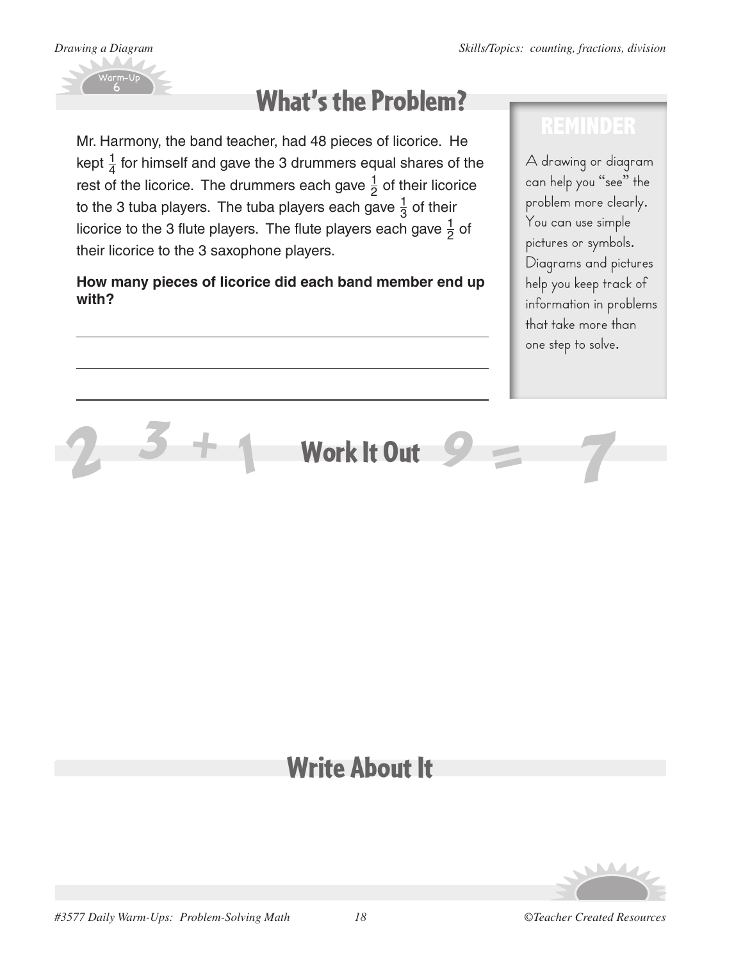

# What's the Problem?

Mr. Harmony, the band teacher, had 48 pieces of licorice. He kept  $\frac{1}{4}$  for himself and gave the 3 drummers equal shares of the rest of the licorice. The drummers each gave  $\frac{1}{2}$  of their licorice to the 3 tuba players. The tuba players each gave  $\frac{1}{3}$  of their licorice to the 3 flute players. The flute players each gave  $\frac{1}{2}$  of their licorice to the 3 saxophone players.

## **How many pieces of licorice did each band member end up with?**

A drawing or diagram can help you "see" the problem more clearly. You can use simple pictures or symbols. Diagrams and pictures help you keep track of information in problems that take more than one step to solve.

# *2 3 <sup>+</sup> <sup>1</sup>* Work It Out *<sup>9</sup> <sup>=</sup> 7*

# Write About It